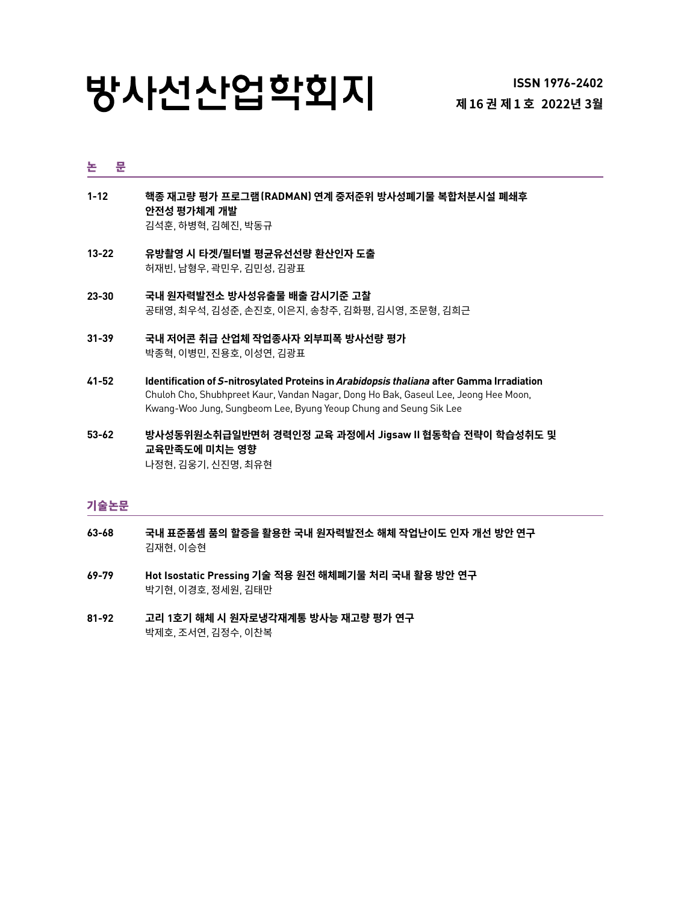# 방사선산업학회지

#### 논 문

- **1-12 핵종 재고량 평가 프로그램(RADMAN) 연계 중저준위 방사성폐기물 복합처분시설 폐쇄후 안전성 평가체계 개발** 김석훈, 하병혁, 김혜진, 박동규
- **13-22 [유](#page-0-0)방촬영 시 타겟/필터별 평균유선선량 환산인자 도출** 허재빈, 남형우, 곽민우, 김민성, 김광표
- **23-30 국내 원자력발전소 방사성유출물 배출 감시기준 고찰** 공태영, 최우석, 김성준, 손진호, 이은지, 송창주, 김화평, 김시영, 조문형, 김희근
- **31-39 [국내 저어콘 취급 산업체 작업종사자 외부피폭 방사선량 평가](#page-0-0)**  박종혁, 이병민, 진용호, 이성연, 김광표
- **41-52 Identification of S-nitrosylated Proteins in Arabidopsis thaliana after Gamma Irradiation** Chuloh Cho, Shubhpreet Kaur, Vandan Nagar, Dong Ho Bak, Gaseul Lee, Jeong Hee Moon, Kwang-Woo Jung, Sungbeom Lee, Byung Yeoup Chung and Seung Sik Lee
- **53-62 방사성동위원소취급일반면허 경력인정 교육 과정에서 Jigsaw II 협동학습 전략이 학습성취도 및 교육만족도에 미치는 영향**  나정현, 김웅기, 신진명, 최유현

### 기술논문

- **63-68 [국](#page-0-0)내 표준품셈 품의 할증을 활용한 국내 원자력발전소 해체 작업난이도 인자 개선 방안 연구** 김재현, 이승현
- **6[9-79](#page-0-0) Hot Isostatic Pressing 기술 적용 원전 해체폐기물 처리 국내 활용 방안 연구** 박기현, 이경호, 정세원, 김태만
- <span id="page-0-0"></span>**81-92 [고](#page-0-0)리 1호기 해체 시 원자로냉각재계통 방사능 재고량 평가 연구** 박제호, 조서연, 김정수, 이찬복